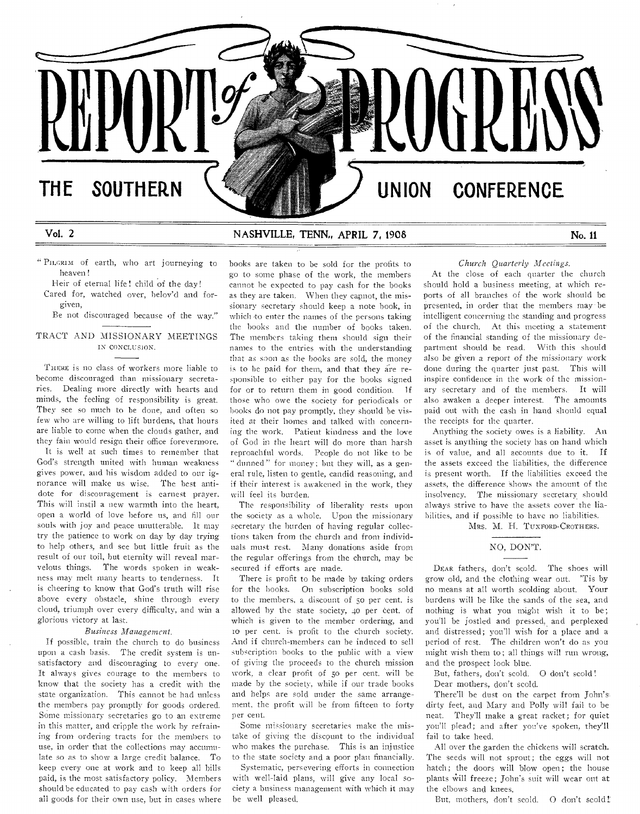

# Vol. 2 NASHVILLE, TENN., APRIL 7, 1908 No. 11

" PILGRIM of earth, who art journeying to heaven!

Heir of eternal life! child of the day! Cared for, watched over, belov'd and forgiven,

Be not discouraged because of the way."

## TRACT AND MISSIONARY MEETINGS IN CONCLUSION.

THERE is no class of workers more liable to become discouraged than missionary secretaries. Dealing more directly with hearts and minds, the feeling of responsibility is great. They see so much to be done, and often so few who are willing to lift burdens, that hours are liable **to come** when the clouds gather, and they fain **would** resign their office forevermore.

It **is** well at such times to remember that **God's strength** united with **human weakness gives power,** and his **wisdom** added to **our ignorance will make us wise.** The best antidote **for discouragement is** earnest prayer. This **will** instil **a new warmth into** the heart, **open** a world **of love before** us, and fill our **souls** with **joy and peace unutterable. It may try the patience to work on day by day trying to help others,** and see but little fruit as the result of **our toil, but eternity will** reveal marvelous **things. The words** spoken in **weakness may melt many hearts to tenderness. it is cheering to know that God's truth will rise above every obstacle, shine through** every cloud, triumph **over every difficulty,** and win **a glorious victory** at last.

# *Business Management.*

**If possible, train the church to do business upon a cash basis.** The credit system is unsatisfactory and discouraging to every one. It always gives courage to the members to know that the society has a credit with the state organization. This cannot be had unless the members pay promptly for goods ordered. Some missionary secretaries go to an extreme in this matter, and cripple the work by refraining from ordering tracts for the members to use, in order that the collections may accumulate so as to show a large credit balance. To keep every one at work and to keep all bills paid, is the most satisfactory policy. Members should **be educated to pay cash with orders for**  all goods **for** their own use, but in cases where books are taken to be sold for the profits **to go to some** phase of the work, the **members cannot he** expected to pay cash for the books **as they are taken.** When they capnot, the missionary **secretary** should keep a **note** hook, in which -to **enter** the names of the **persons** taking **the books and** the number of **books** taken. **The members taking** them should **sign** their **names to the entries with the understanding that as** *soon* **as the books are** sold, the money is **to be** paid for them, and that **they are** responsible to either pay for the books signed for or to return them in good condition. If **those who** owe the **society for periodicals or books** do not pay **promptly, they should he visited at** their homes and **talked with concerning the** work. **Patient** kindness and the love **of God in the heart** will do more than harsh **reproachful words.** People do not **like to be**  " dunned " **for money;** but they will, as a general **rule, listen to gentle,** candid reasoning, and if their **interest is awakened in the work,** they will feel its burden.

The **responsibility of** liberality **rests upon the society as a whole.** Upon **the missionary secretary the burden** of having regular collections taken **from** the church and from **individuals must rest. Many** donations aside **from the regular offerings from** the church, may be secured **if** efforts are made.

There is profit to be made by **taking orders for the books. On subscription** books sold **to the members, a discount** of 50 **per** cent, is **allowed by the state society, 4o** per **cent.** of which **is given to the member ordering, and Io per cent. is profit to the** church **society. And if church-members** can be induced **to sell subscription books to** the **public with a view of giving the proceeds to** the **church mission work, a clear profit of 5o** per cent. will be made by the society, while if our trade books and helps are sold under the same arrangement, the profit will he from fifteen to forty per cent.

**Some missionary** secretaries make the mistake of giving the discount to the individual who makes the purchase. This is an injustice to the state society and a poor plan **financially.** 

**Systematic, persevering efforts** in **connection with** well-laid plans, will give **any local society a** business **management with** which it **may be well pleased,** 

*Church Quarterly Meetings.* 

At the **close of each quarter the church should hold a business** meeting, **at which** reports **of all branches of** the **work should be**  presented, **in order that the members may be intelligent concerning the** standing and progress of the church. **At this meeting a statement**  of the financial standing **of the missionary department should be read. With this should also be given** a report of the missionary work done during the **quarter just past. This** will **inspire confidence in** the work of the **missionary secretary** and of the members. It will also awaken a deeper interest. The **amounts paid out** with the cash in hand should equal the receipts for the **quarter.** 

**Anything the society owes is a liability.** An **asset is** anything **the society has on** hand which **is of value, and all accounts due to it. If**  the assets exceed the **liabilities, the** difference **is present worth. If** the **liabilities** exceed the **assets,** the difference 'shows the amount of **the insolvency. The missionary secretary should always strive to** have the assets cover the **liabilities, and** if possible to **have no liabilities.** 

MRS. M. H. TUXFORD-CROTHERS.

## **NO, DON'T.**

DEAR fathers, don't scold. The shoes will grow old, and the clothing wear out. **'Tis** by no **means at** all worth scolding **about.** Your burdens **will** be like the sands of the **sea,** and nothing is what you might wish it **to be; you'll be** jostled and pressed, and perplexed and **distressed; you'll** wish for a place and a period of rest. The children **won't do** as you might wish them to; all things will run wrong, **and** the **prospect** look blue.

But, **fathers, don't scold. 0 don't scold !** 

Dear **mothers,** don't scold.

There'll **he dust on the** carpet from **John's**  dirty feet, and Mary and Polly will fail to be neat. They'll make a great **racket; for quiet you'll plead;** and after you've spoken, they'll fail to take heed.

All over the garden the chickens will **scratch. The seeds will not sprout; the eggs will** not **hatch; the doors** will **blow open; the** house plants Will freeze; John's suit will wear out at the **elbows** and knees.

But, mothers, don't **scold.** 0 don't scold!: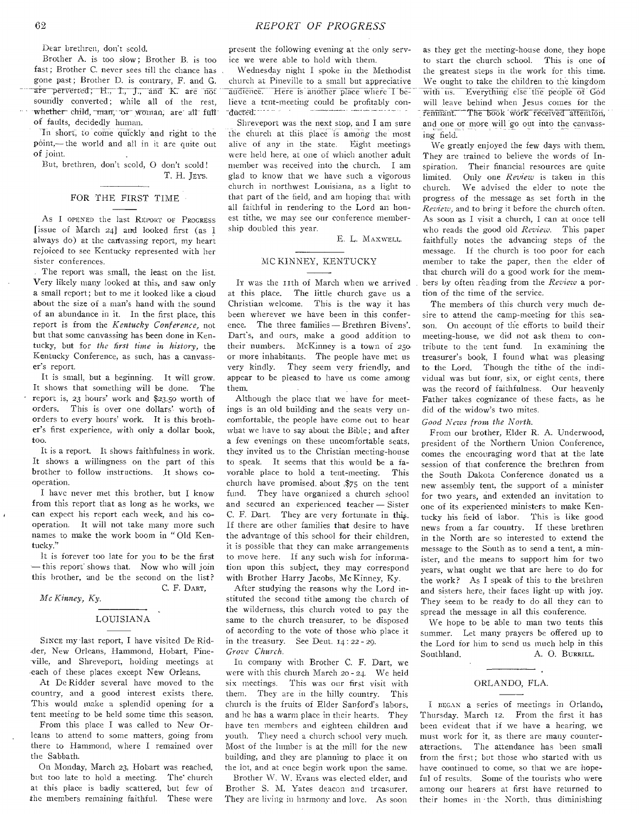Dear brethren, don't scold.

Brother A. is too slow; Brother B. is too fast; Brother C. never sees till the chance has gone past; Brother D. is contrary, F. and G. are perverted; H., I., J., and K. are not soundly converted; while all of the rest, whether child, many or woman; are all full **of** faults, decidedly human.

In Short, to come qUickly and right to the point,— the world and all in it are quite out of joint.

But, brethren, don't scold, 0 don't scold! T. H. JEYS.

## FOR THE FIRST TIME

As I OPENED the last REPORT or PROGRESS [issue of March  $24$ ] and looked first (as I always do) at the canvassing report, my heart rejoiced to see Kentucky represented with her sister conferences.

The report was small, the least on the list. Very likely many looked at this, and saw only a small report; but to me it looked like a cloud about the size of a man's hand with the sound of an abundance in it. In the first place, this report is from the *Kentucky Conference,* not but that some canvassing has been done in Kentucky, but for *the first time in history,* the Kentucky Conference, as such, has a canvasser's report.

It is small, but a beginning. **It** will grow. It shows that something will be done. The report is, 23 hours' work and \$23.50 worth of orders. This is over one dollars' worth of orders to every hours' work. It is this brother's first experience, with only a dollar book, too.

It is a report. It shows faithfulness in work. It shows a willingness on the part of this brother to follow instructions. It shows cooperation.

I have never met this brother, but I know from this report that as long as he works, we can expect his report each week, and his cooperation. **It** will not take many more such names to make the work boom in " Old Kentucky."

It is forever too late for you to be the first —this report shows that. Now who will join this brother, and be the second on the list? C. F. DART,

*Mc Kinney, Ky.* 

 $\mathbf{r}$ 

# LOUISIANA

SINCE my -last report, I have visited De Rid- -der, New Orleans, Hammond, Hobart, Pineville, and Shreveport, holding meetings at each of these places except New Orleans.

At De Ridder several have moved to the country, and a good interest exists there. This would make a splendid opening for a tent meeting to be held some time this season.

From this place I was called to New Orleans to attend to some matters, going from there to Hammond, where I remained over the Sabbath.

On Monday, March 23, Hobart was reached, but too late to hold a meeting. The' church at this place is badly scattered, but few of the members remaining faithful. These were

present the following evening at the only service we were able to hold with them.

Wednesday night I spoke in the Methodist church at Pineville to a small but appreciative audience. Here is another place where I believe a tent-meeting could **be profitably conna-ed.** 

Shreveport was the **next stop, and I am sure the** church at this place is among the most alive of any in the state. Eight meetings were held here, at one of which another adult member was received into the church. I am glad to know that we have such a vigorous church in northwest Louisiana, as a light to that part of the field, and am hoping that with all faithful in rendering to the Lord an honest tithe, we may **see** our conference membership doubled **this year.** 

E. L. MAXWELL.

## MC KINNEY, KENTUCKY

It was the 11th of March when we arrived at this place. **The little** church gave us **a Christian** welcome. This is the way it has been wherever we have been in this conference. The three families — Brethren Bivens', Dart's, and ours, make a good addition to their numbers. McKinney is a town of 25o: or more inhabitants. The people have met us very kindly. They seem very friendly, and appear to be pleased to have us come among them.

Although the place that we have for meetings is an old building and the seats very uncomfortable, the people have come out to hear what we have to say about the Bible; and after a few evenings on these uncomfortable seats, they invited us to the Christian meeting-house to speak. It seems that this would be a favorable place to hold a tent-meeting. This church have promised. about ,\$75 on the tent fund. They have organized a church school and secured an experienced teacher — Sister C. F. Dart. They are very fortunate in this. If there are other families that desire to have the advantage of this school for their children, it is possible that they can make arrangements to move here. If any such wish for information upon this subject, they may correspond with Brother Harry Jacobs, Mc Kinney, Ky.

After studying the reasons why the Lord instituted the second tithe among the church of the wilderness, this church voted to pay the same to the church treasurer, to be disposed of according to the vote of those who place it in the treasury. See Deut.  $14:22 - 20$ . *Grove Church.* 

In company with Brother C. F. Dart, we were with this church March 20 - 24. We held six meetings. This was our first visit with them. They are in the hilly country. This church is the fruits of Elder Sanford's labors, and he has a warm place in their hearts. They have ten members and eighteen children and youth. They need a church school very much. Most of the lumber is at the mill for the new building, and they are planning to place it on the lot, and at once begin work upon the same.

Brother W. W. Evans was elected **elder, and Brother** S. M. Yates **deacon** and treasurer. They are living in harmony and love. **As soon**  **as they** get the meeting-house done, they hope to start the church school. This is one of the greatest steps in the work for this time. We ought to take the children to the kingdom with us. Everything else the people of God will leave behind when Jesus comes for the remnant. The book work received attention, and one or more will go out into the canvassing field.

We greatly enjoyed the few days with them. They are trained to believe the words of Inspiration. Their financial resources are quite limited. Only one *Review* is taken in this church. We advised the **elder** to note the progress of the message as set forth in the *Review,* and to bring it before the church often. As soon as I visit a church, I can at once tell who reads the good old *Review.* This paper faithfully notes the advancing steps of the message. If the church is too poor for each member to take the paper, then the elder of that church will do a good work for the members by often reading from the *Review* a portion of the time of the service.

The members of this church very much desire to attend the camp-meeting for this season. On account of the efforts to build their meeting-house, we did not ask them to contribute to the tent fund. In examining the treasurer's book, I found what was pleasing to the Lord. Though the tithe of the individual was but four, six, or eight cents, there was the record of faithfulness. Our heavenly Father takes cognizance of these facts, as he did of the widow's two mites.

*Good News from the North.* 

From our brother, Elder R. A. Underwood, president of the Northern Union Conference, comes the encouraging word that at the late session of that conference the brethren from the South Dakota Conference donated us a new assembly tent, the support of **a minister for two years, and extended an invitation to one of its experienced ministers to make Kentucky his field of labor. This is like good news from a far country. If these brethren in the North are so interested to extend the message to the South as to send a tent, a minister, and the means to support him for two years, what ought we that are here to do for the work? As I speak of this to the brethren**  and sisters here, their faces light up with joy. **They seem to be ready to do all they can to spread the message in all this conference.** 

**We hope to be able to man two tents this summer. Let many prayers be offered up to the Lord for him to send us much help in this**  Southland. A. O. BURRILL.

## **ORLANDO, FLA.**

I BEGAN a series of meetings in Orlando, Thursday, March 12. From the first it has been evident that if we have a hearing, **we must work** for it, as there are many counterattractions. The attendance has been small from the first; but those who started with us have continued to come, so that we are hopeful of results. Some of the tourists who were among our hearers at first have returned to their homes in 'the North, thus diminishing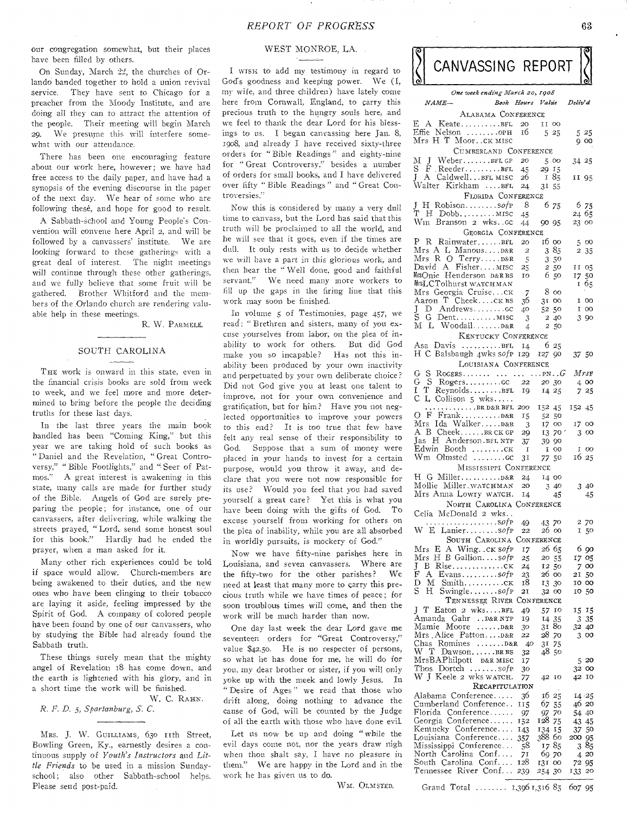our congregation somewhat, but their places have been filled by others.

On Sunday, March 22, the churches of Orlando banded **together to** hold a **onion revival**  service. They **have sent** to **Chicago for a**  preacher from **the Moody Institute, and are**  doing all they **can to** attract the **attention of**  the people. **Their meeting** will **begin March**  29. **We presume this will interfere somewhat** with **our attendance.** 

There **has been one encouraging feature**  about **our work here, however; we have** had free **access to the daily paper, and have •had a synopsis of the evening discourse in the paper**  of the next **day. We hear of some who are**  following these, and hope for good to result.

**A Sabbath-school and Young People's Convention will convene here April** 2, **and will be followed by a canvassers' institute. We are looking forward to these gatherings with a great deal of interest. The night meetings will continue through these other gatherings, and we** fully **believe that some fruit will be gathered, Brother Whitford and the members of the** Orlando **church are rendering valuable help** in **these meetings.** 

R. W. PARMELE.

#### SOUTH CAROLINA

THE **work is** onward in **this** state, even in the **financial crisis** books **are** sold from week to week, **and we feel more** and more determined **to bring before the** people the deciding truths for **these last days.** 

In the **last three years** the main book handled **has** been "Coming King," but this **year we** are taking **hold of such** books as **"Daniel** and the **Revelation, " Great** Controversy," **"** Bible Footlights," **and "-Seer** of Pat**mos."** A great interest is awakening in this state, many **calls are made for** further study of the Bible. **Angels of God** are surely preparing the people; for instance, one of our **canvassers, after delivering, while** walking the **streets prayed,** "Lord, **send** some honest soul **for this** book." Hardly had he ended the prayer, when a man asked for it.

Many other rich experiences could be told if space would allow. Church-members are being awakened to their duties, and the new ones who have been clinging to their tobacco are laying it aside, feeling impressed by the Spirit **of** God. **A** company of colored people have been found by one of our canvassers, who by studying the Bible had already found the Sabbath truth.

These things surely mean that the mighty angel of Revelation 18 has come down, and the earth is **lightened** with his glory, and in a **short time the work** will be finished.

W. C. RAHN. *R. F. D.* **5,** *Spartanburg, S. C.* 

MRS. J. W. GUILLIAMS, 630 IIth Street, Bowling Green, **Ky.,** earnestly desires a continuous supply of *Youth's Instructors* and *Little Friends* to be **used** in a **mission** Sundayschool; also other Sabbath-school helps. Please send post-paid.

# WEST MONROE, LA.

**I wisx to add** my testimony in regard to **God's goodness** and keeping power. We (I. my **wife, and three** children) have lately come **here from** Cornwall, England, to carry this **precious** truth to the hungry souls here, and **we feel to** thank the dear Lord for his blessings **to us. I** began **canvassing** here Jan. **8, 1908, and** already I have **received** sixty-three **orders for "** Bible **Readings" and** eighty-nine **for " Great** Controversy," besides **a** number **of orders for** small **books, and I** have delivered **over fifty "** Bible Readings" and " **Great Controversies."** 

**Now this is** considered by **many** a very dull **time to** canvass, **but** the Lord **has** said that this **truth will be proclaimed to** all the world, and **he will see that it goes,** even if the times are **dull. It only rests with** us to decide whether we **will have a part** in this glorious work, and **then hear the** " Well done, **good and** faithful **servant." We** need many more workers to **fill up the gaps** in the **firing line that this work may soon** be finished.

**In volume 5** of **Testimonies, page 457, we read; "Brethren** and **sisters, many** of you excuse yourselves from labor, on the plea of inability **to** work for others. But did God **make you** so incapable? Has not this inability **been** produced by **your** *own* inactivity and perpetuated by your **own deliberate** choice? Did **not** God give you at least one talent to improve, not for your own convenience and gratification, but for him? Have you not neglected opportunities to improve **your powers**  to **this** end? It is too true **that** few **have**  felt any real **sense of** their responsibility to God. Suppose **that** a sum of money were placed in your hands to invest for a certain purpose, would you throw it **away,** and declare **that** you were not now responsible for **its use?** Would you feel that **you** had saved **yourself** a great care? Yet **this is** what you **have been** doing with the *gifts* **of** God. To **excuse** yourself from working for others on the **plea of** inability, while you are all absorbed in worldly pursuits, is mockery *of* God."

Now we have fifty-nine parishes here in Louisiana, and seven canvassers. Where are the fifty-two for the other parishes? We need at least that many more to carry this precious truth while we have times of peace; for soon troublous times will come, and then the work will be much harder than now.

One day last week the dear Lord gave **me**  seventeen orders for "Great Controversy," value \$42.50. He is no respecter of persons, so what he has done for me, he will do for you, my dear brother or sister, if you will only yoke up with the meek and lowly Jesus. In " Desire of Ages " we read that those who drift **along,** doing nothing to advance the cause of God, will be counted by the Judge **of all** the earth with those who have done evil.

Let us now be up and doing " while the evil **days come** not, nor the **years** draw nigh **when thou** shalt *say, I* have **no** pleasure in **them." We are** happy in the **Lord and** in the **work he has given** us to do.

WM. OLMSTED.

CANVASSING REPORT *One week ending Norsk 20, 1908* 

| $_{NAME-}$                                                           | Book Hours Value Deliv'd |                   |                 |        |    |
|----------------------------------------------------------------------|--------------------------|-------------------|-----------------|--------|----|
| ALABAMA CONFERENCE                                                   |                          |                   |                 |        |    |
| $E A$ Keate $BFL$                                                    |                          | 11 00             |                 |        |    |
| Effie Nelson орн<br>Mrs H T Moorскмиsс                               | $\frac{20}{16}$          | $-525$            |                 | 525    |    |
|                                                                      |                          |                   |                 | 900    |    |
| CUMBERLAND CONFERENCE                                                |                          |                   |                 |        |    |
| M J WeberBFLGP 20<br>S F ReederBFL 45                                |                          | - 500             |                 | 34 25  |    |
|                                                                      |                          | 29 15             |                 |        |    |
| J A CaldwellBFL MISC                                                 | 26                       | I 85              |                 | 11 95  |    |
| BFL Wirkham                                                          | 24                       | 3155              |                 |        |    |
| FLORIDA CONFERENCE                                                   |                          |                   |                 |        |    |
| J H Robisonsofp 8                                                    |                          |                   | 6 75            | 6 75   |    |
| $T$ H Dobb MISC                                                      | 45                       |                   |                 | 24 65  |    |
| Wm Branson 2 wkscc                                                   | 44                       | 90 95             |                 | 23 00  |    |
| GEORGIA CONFERENCE                                                   |                          |                   |                 |        |    |
| P R RainwaterBFL 20                                                  |                          | 16 00             |                 | 5 00   |    |
| Mrs A L Manous $D\&R = 2$                                            |                          |                   | 385             | 235    |    |
| Mrs R O TerryD&R<br>David A FisherMISC                               | - 5                      |                   | 3 50            |        |    |
|                                                                      | $\frac{25}{10}$          | $2\,50$           |                 | II 05  |    |
| MrsOnie Henderson D&RBS                                              |                          |                   | 650             | 17 50  |    |
| MisLCTolhurst watch man                                              |                          |                   |                 | 165    |    |
| Mrs Georgia Cruiseck 7<br>Aaron T Cheekck BS 36                      |                          | $\frac{8}{37}$ 00 |                 |        |    |
|                                                                      |                          | 31 00             |                 | I OO   |    |
| J<br>$S$ G Dent MISC                                                 |                          |                   | 5250            | 100    |    |
| M L Woodall D&R                                                      | 3                        |                   | 2 40<br>2 50    | 3 9 0  |    |
|                                                                      | $\overline{4}$           |                   |                 |        |    |
| KENTUCKY CONFERENCE                                                  |                          |                   |                 |        |    |
| Asa Davis BFL 14 6 25<br>H C Balsbaugh 4wks sofp 129 127 90          |                          |                   |                 |        |    |
|                                                                      |                          |                   |                 | 3750   |    |
| LOUISIANA CONFERENCE                                                 |                          |                   |                 |        |    |
|                                                                      |                          |                   |                 | Mrse   |    |
|                                                                      |                          |                   |                 | 4 00   |    |
| T ReynoldsBFL 19<br>1<br>$\bar{C}$ $\bar{L}$ $\bar{C}$ ollison 5 wks |                          | 14 25             |                 | 7 25   |    |
| $\ldots \ldots \ldots$ . BR D&R BFL 200                              |                          | 152 45            |                 | 152 45 |    |
|                                                                      | 15                       | 52 50             |                 |        |    |
| Mrs Ida Walker D&R 3                                                 |                          |                   | 17 00           | 17 00  |    |
| A B CheekBRCKGP 29                                                   |                          |                   | 13 70 '         | 300    |    |
|                                                                      | 37                       |                   | 39 90           |        |    |
| Jas H Anderson. BFL NTP<br>Edwin Booth CK                            | $\mathbf{I}$             | $\mathbf{I}$      | 00 <sub>1</sub> | 100    |    |
| Wm Olmsted cc                                                        | 31                       |                   | 77 50           | 16 25  |    |
| MISSISSIPPI CONFERENCE                                               |                          |                   |                 |        |    |
|                                                                      | 24                       | 14 00             |                 |        |    |
| Mollie Miller.waTCHMAN                                               | 20                       |                   | 340             | 3 40   |    |
| Mrs Anna Lowry WATCH. 14                                             |                          |                   | 45              |        | 45 |
| NORTH CAROLINA CONFERENCE                                            |                          |                   |                 |        |    |
| Celia McDonald 2 wks                                                 |                          |                   |                 |        |    |
|                                                                      |                          |                   |                 | 2 70   |    |
| W E Laniersofp 49 43 70<br>W E Laniersofp 22 26 00                   |                          |                   |                 | I 50   |    |
| SOUTH CAROLINA CONFERENCE                                            |                          |                   |                 |        |    |
| Mrs<br>E A Wing. . CK SOfP                                           | 17                       | 26 65             |                 | 6 90   |    |
| Mrs H B Gallionsofp                                                  | 25                       | 20 55             |                 | 17 O5  |    |
| J<br>В                                                               | 24                       |                   | 12 50           | 7.     | oo |
| $\mathbf{F}$<br>A<br>$Evans \ldots sofp$                             | 23                       | 26 00             |                 | 21     | 50 |
| D<br>М<br>$Smith$ $CK$                                               | 18                       | 13                | 30              | 10 00  |    |
| S.<br>н<br>Swinglesofp                                               | 21                       | 32 00             |                 | 10     | 50 |
| TENNESSEE RIVER CONFERENCE                                           |                          |                   |                 |        |    |
| J T Eaton 2 wksBFL                                                   | 49                       | 57                | 10              | 15     | 15 |
| Amanda Gahr D&RNTP                                                   | 19                       | 14 35             |                 | 3      | 35 |
| Mamie Moore D&R                                                      | 30                       | 31 80             |                 | 32 40  |    |
| Mrs Alice PattonD&R<br>Chas Romines D&R                              | 22                       | 28 70             |                 | 3      | oo |
| W T DawsonBRBS                                                       | -40<br>32                | 31.<br>48.50      | 75              |        |    |
| MrsBAPhilpott D&R MISC                                               | 17                       |                   |                 | 5      | 20 |
| Thos Dortch $\dots$ soft.                                            | 30                       |                   |                 | 32 00  |    |
| W J Keele 2 wks watch.                                               | 77                       | 42                | 10              | 42     | 10 |
| RECAPITULATION                                                       |                          |                   |                 |        |    |
| Alabama Conference                                                   | 36                       | 16 25             |                 | 14 25  |    |
| Cumberland Conference                                                | 115                      | 07 55             |                 | 4620   |    |
| Florida Conference                                                   | -97                      | 97                | 70              | 54 40  |    |
| Georgia Conference                                                   | 152                      | 128 75            |                 | 4345   |    |
| Kentucky Conference                                                  | 143                      | 134 15            |                 | 37 50  |    |
| Louisiana Conference                                                 | 357                      | 388 60            |                 | 200 95 |    |
| Mississippi Conference                                               | 58                       | 1785              |                 | 385    |    |
| North Carolina Conf                                                  | 71                       | 69 70             |                 | 4      | 20 |
| South Carolina Conf<br>Tennessee River Conf                          | 128                      | 131 00            |                 | 72     | 95 |
|                                                                      | 239                      | 254 30            |                 | 133    | 20 |
|                                                                      |                          |                   |                 |        |    |

Grand Total ....... 1,396 1,316 85 607 95